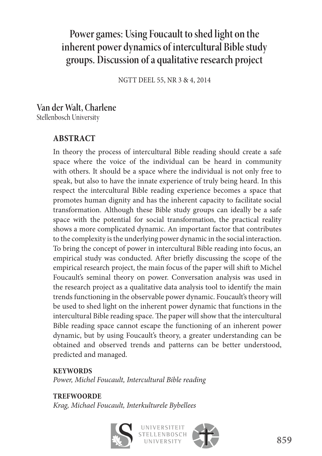# **Power games: Using Foucault to shed light on the inherent power dynamics of intercultural Bible study groups. Discussion of a qualitative research project**

NGTT DEEL 55, NR 3 & 4, 2014

#### **Van der Walt, Charlene**  Stellenbosch University

# **ABSTRACT**

In theory the process of intercultural Bible reading should create a safe space where the voice of the individual can be heard in community with others. It should be a space where the individual is not only free to speak, but also to have the innate experience of truly being heard. In this respect the intercultural Bible reading experience becomes a space that promotes human dignity and has the inherent capacity to facilitate social transformation. Although these Bible study groups can ideally be a safe space with the potential for social transformation, the practical reality shows a more complicated dynamic. An important factor that contributes to the complexity is the underlying power dynamic in the social interaction. To bring the concept of power in intercultural Bible reading into focus, an empirical study was conducted. After briefly discussing the scope of the empirical research project, the main focus of the paper will shift to Michel Foucault's seminal theory on power. Conversation analysis was used in the research project as a qualitative data analysis tool to identify the main trends functioning in the observable power dynamic. Foucault's theory will be used to shed light on the inherent power dynamic that functions in the intercultural Bible reading space. The paper will show that the intercultural Bible reading space cannot escape the functioning of an inherent power dynamic, but by using Foucault's theory, a greater understanding can be obtained and observed trends and patterns can be better understood, predicted and managed.

#### **KEYWORDS**

*Power, Michel Foucault, Intercultural Bible reading*

#### **TREFWOORDE**

*Krag, Michael Foucault, Interkulturele Bybellees*



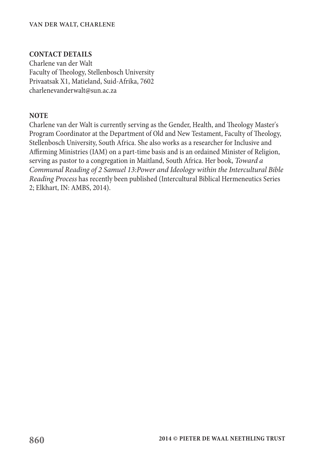#### **VAN DER WALT, CHARLENE**

#### **CONTACT DETAILS**

Charlene van der Walt Faculty of Theology, Stellenbosch University Privaatsak X1, Matieland, Suid-Afrika, 7602 charlenevanderwalt@sun.ac.za

#### **NOTE**

Charlene van der Walt is currently serving as the Gender, Health, and Theology Master's Program Coordinator at the Department of Old and New Testament, Faculty of Theology, Stellenbosch University, South Africa. She also works as a researcher for Inclusive and Affirming Ministries (IAM) on a part-time basis and is an ordained Minister of Religion, serving as pastor to a congregation in Maitland, South Africa. Her book, *Toward a Communal Reading of 2 Samuel 13:Power and Ideology within the Intercultural Bible Reading Process* has recently been published (Intercultural Biblical Hermeneutics Series 2; Elkhart, IN: AMBS, 2014).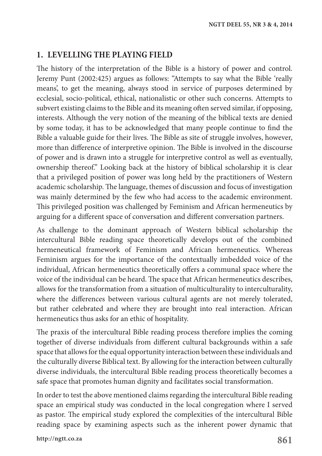## **1. LEVELLING THE PLAYING FIELD**

The history of the interpretation of the Bible is a history of power and control. Jeremy Punt (2002:425) argues as follows: "Attempts to say what the Bible 'really means', to get the meaning, always stood in service of purposes determined by ecclesial, socio-political, ethical, nationalistic or other such concerns. Attempts to subvert existing claims to the Bible and its meaning often served similar, if opposing, interests. Although the very notion of the meaning of the biblical texts are denied by some today, it has to be acknowledged that many people continue to find the Bible a valuable guide for their lives. The Bible as site of struggle involves, however, more than difference of interpretive opinion. The Bible is involved in the discourse of power and is drawn into a struggle for interpretive control as well as eventually, ownership thereof." Looking back at the history of biblical scholarship it is clear that a privileged position of power was long held by the practitioners of Western academic scholarship. The language, themes of discussion and focus of investigation was mainly determined by the few who had access to the academic environment. This privileged position was challenged by Feminism and African hermeneutics by arguing for a different space of conversation and different conversation partners.

As challenge to the dominant approach of Western biblical scholarship the intercultural Bible reading space theoretically develops out of the combined hermeneutical framework of Feminism and African hermeneutics. Whereas Feminism argues for the importance of the contextually imbedded voice of the individual, African hermeneutics theoretically offers a communal space where the voice of the individual can be heard. The space that African hermeneutics describes, allows for the transformation from a situation of multiculturality to interculturality, where the differences between various cultural agents are not merely tolerated, but rather celebrated and where they are brought into real interaction. African hermeneutics thus asks for an ethic of hospitality.

The praxis of the intercultural Bible reading process therefore implies the coming together of diverse individuals from different cultural backgrounds within a safe space that allows for the equal opportunity interaction between these individuals and the culturally diverse Biblical text. By allowing for the interaction between culturally diverse individuals, the intercultural Bible reading process theoretically becomes a safe space that promotes human dignity and facilitates social transformation.

In order to test the above mentioned claims regarding the intercultural Bible reading space an empirical study was conducted in the local congregation where I served as pastor. The empirical study explored the complexities of the intercultural Bible reading space by examining aspects such as the inherent power dynamic that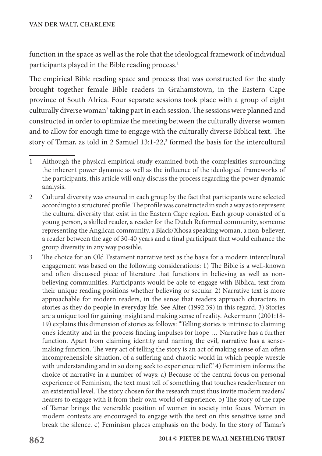function in the space as well as the role that the ideological framework of individual participants played in the Bible reading process.<sup>1</sup>

The empirical Bible reading space and process that was constructed for the study brought together female Bible readers in Grahamstown, in the Eastern Cape province of South Africa. Four separate sessions took place with a group of eight culturally diverse woman<sup>2</sup> taking part in each session. The sessions were planned and constructed in order to optimize the meeting between the culturally diverse women and to allow for enough time to engage with the culturally diverse Biblical text. The story of Tamar, as told in 2 Samuel 13:1-22,<sup>3</sup> formed the basis for the intercultural

<sup>1</sup> Although the physical empirical study examined both the complexities surrounding the inherent power dynamic as well as the influence of the ideological frameworks of the participants, this article will only discuss the process regarding the power dynamic analysis.

<sup>2</sup> Cultural diversity was ensured in each group by the fact that participants were selected according to a structured profile. The profile was constructed in such a way as to represent the cultural diversity that exist in the Eastern Cape region. Each group consisted of a young person, a skilled reader, a reader for the Dutch Reformed community, someone representing the Anglican community, a Black/Xhosa speaking woman, a non-believer, a reader between the age of 30-40 years and a final participant that would enhance the group diversity in any way possible.

<sup>3</sup> The choice for an Old Testament narrative text as the basis for a modern intercultural engagement was based on the following considerations: 1) The Bible is a well-known and often discussed piece of literature that functions in believing as well as nonbelieving communities. Participants would be able to engage with Biblical text from their unique reading positions whether believing or secular. 2) Narrative text is more approachable for modern readers, in the sense that readers approach characters in stories as they do people in everyday life. See Alter (1992:39) in this regard. 3) Stories are a unique tool for gaining insight and making sense of reality. Ackermann (2001:18- 19) explains this dimension of stories as follows: "Telling stories is intrinsic to claiming one's identity and in the process finding impulses for hope … Narrative has a further function. Apart from claiming identity and naming the evil, narrative has a sensemaking function. The very act of telling the story is an act of making sense of an often incomprehensible situation, of a suffering and chaotic world in which people wrestle with understanding and in so doing seek to experience relief." 4) Feminism informs the choice of narrative in a number of ways: a) Because of the central focus on personal experience of Feminism, the text must tell of something that touches reader/hearer on an existential level. The story chosen for the research must thus invite modern readers/ hearers to engage with it from their own world of experience. b) The story of the rape of Tamar brings the venerable position of women in society into focus. Women in modern contexts are encouraged to engage with the text on this sensitive issue and break the silence. c) Feminism places emphasis on the body. In the story of Tamar's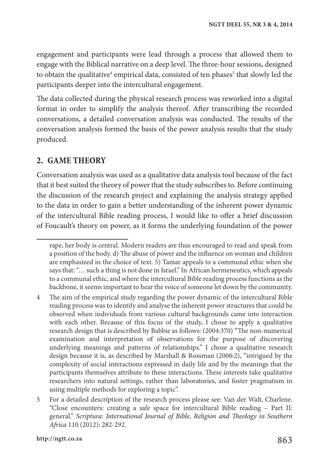engagement and participants were lead through a process that allowed them to engage with the Biblical narrative on a deep level. The three-hour sessions, designed to obtain the qualitative<sup>4</sup> empirical data, consisted of ten phases<sup>5</sup> that slowly led the participants deeper into the intercultural engagement.

The data collected during the physical research process was reworked into a digital format in order to simplify the analysis thereof. After transcribing the recorded conversations, a detailed conversation analysis was conducted. The results of the conversation analysis formed the basis of the power analysis results that the study produced.

#### **2. GAME THEORY**

Conversation analysis was used as a qualitative data analysis tool because of the fact that it best suited the theory of power that the study subscribes to. Before continuing the discussion of the research project and explaining the analysis strategy applied to the data in order to gain a better understanding of the inherent power dynamic of the intercultural Bible reading process, I would like to offer a brief discussion of Foucault's theory on power, as it forms the underlying foundation of the power

rape, her body is central. Modern readers are thus encouraged to read and speak from a position of the body. d) The abuse of power and the influence on woman and children are emphasized in the choice of text. 5) Tamar appeals to a communal ethic when she says that: "… such a thing is not done in Israel." In African hermeneutics, which appeals to a communal ethic, and where the intercultural Bible reading process functions as the backbone, it seems important to hear the voice of someone let down by the community.

<sup>4</sup> The aim of the empirical study regarding the power dynamic of the intercultural Bible reading process was to identify and analyse the inherent power structures that could be observed when individuals from various cultural backgrounds came into interaction with each other. Because of this focus of the study, I chose to apply a qualitative research design that is described by Babbie as follows: (2004:370) "The non-numerical examination and interpretation of observations for the purpose of discovering underlying meanings and patterns of relationships." I chose a qualitative research design because it is, as described by Marshall & Rossman (2006:2), "intrigued by the complexity of social interactions expressed in daily life and by the meanings that the participants themselves attribute to these interactions. These interests take qualitative researchers into natural settings, rather than laboratories, and foster pragmatism in using multiple methods for exploring a topic".

<sup>5</sup> For a detailed description of the research process please see: Van der Walt, Charlene. "Close encounters: creating a safe space for intercultural Bible reading – Part II: general." *Scriptura: International Journal of Bible, Religion and Theology in Southern Africa* 110 (2012): 282-292.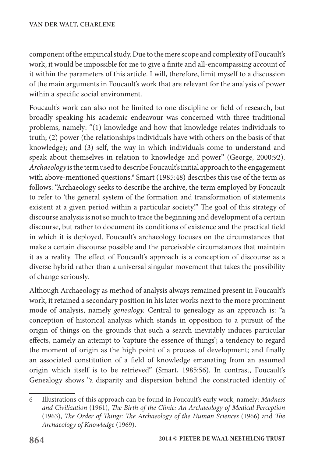component of the empirical study. Due to the mere scope and complexity of Foucault's work, it would be impossible for me to give a finite and all-encompassing account of it within the parameters of this article. I will, therefore, limit myself to a discussion of the main arguments in Foucault's work that are relevant for the analysis of power within a specific social environment.

Foucault's work can also not be limited to one discipline or field of research, but broadly speaking his academic endeavour was concerned with three traditional problems, namely: "(1) knowledge and how that knowledge relates individuals to truth; (2) power (the relationships individuals have with others on the basis of that knowledge); and (3) self, the way in which individuals come to understand and speak about themselves in relation to knowledge and power" (George, 2000:92). *Archaeology* is the term used to describe Foucault's initial approach to the engagement with above-mentioned questions.<sup>6</sup> Smart (1985:48) describes this use of the term as follows: "Archaeology seeks to describe the archive, the term employed by Foucault to refer to 'the general system of the formation and transformation of statements existent at a given period within a particular society.'" The goal of this strategy of discourse analysis is not so much to trace the beginning and development of a certain discourse, but rather to document its conditions of existence and the practical field in which it is deployed. Foucault's archaeology focuses on the circumstances that make a certain discourse possible and the perceivable circumstances that maintain it as a reality. The effect of Foucault's approach is a conception of discourse as a diverse hybrid rather than a universal singular movement that takes the possibility of change seriously.

Although Archaeology as method of analysis always remained present in Foucault's work, it retained a secondary position in his later works next to the more prominent mode of analysis, namely *genealogy.* Central to genealogy as an approach is: "a conception of historical analysis which stands in opposition to a pursuit of the origin of things on the grounds that such a search inevitably induces particular effects, namely an attempt to 'capture the essence of things'; a tendency to regard the moment of origin as the high point of a process of development; and finally an associated constitution of a field of knowledge emanating from an assumed origin which itself is to be retrieved" (Smart, 1985:56). In contrast, Foucault's Genealogy shows "a disparity and dispersion behind the constructed identity of

<sup>6</sup> Illustrations of this approach can be found in Foucault's early work, namely: *Madness and Civilization* (1961), *The Birth of the Clinic: An Archaeology of Medical Perception* (1963), *The Order of Things: The Archaeology of the Human Sciences* (1966) and *The Archaeology of Knowledge* (1969).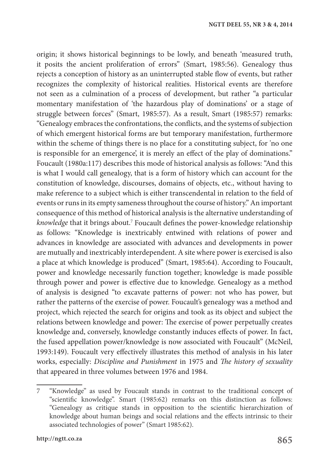origin; it shows historical beginnings to be lowly, and beneath 'measured truth, it posits the ancient proliferation of errors" (Smart, 1985:56). Genealogy thus rejects a conception of history as an uninterrupted stable flow of events, but rather recognizes the complexity of historical realities. Historical events are therefore not seen as a culmination of a process of development, but rather "a particular momentary manifestation of 'the hazardous play of dominations' or a stage of struggle between forces" (Smart, 1985:57). As a result, Smart (1985:57) remarks: "Genealogy embraces the confrontations, the conflicts, and the systems of subjection of which emergent historical forms are but temporary manifestation, furthermore within the scheme of things there is no place for a constituting subject, for 'no one is responsible for an emergence', it is merely an effect of the play of dominations." Foucault (1980a:117) describes this mode of historical analysis as follows: "And this is what I would call genealogy, that is a form of history which can account for the constitution of knowledge, discourses, domains of objects, etc., without having to make reference to a subject which is either transcendental in relation to the field of events or runs in its empty sameness throughout the course of history." An important consequence of this method of historical analysis is the alternative understanding of *knowledge* that it brings about.7 Foucault defines the power-knowledge relationship as follows: "Knowledge is inextricably entwined with relations of power and advances in knowledge are associated with advances and developments in power are mutually and inextricably interdependent. A site where power is exercised is also a place at which knowledge is produced" (Smart, 1985:64). According to Foucault, power and knowledge necessarily function together; knowledge is made possible through power and power is effective due to knowledge. Genealogy as a method of analysis is designed "to excavate patterns of power: not who has power, but rather the patterns of the exercise of power. Foucault's genealogy was a method and project, which rejected the search for origins and took as its object and subject the relations between knowledge and power: The exercise of power perpetually creates knowledge and, conversely, knowledge constantly induces effects of power. In fact, the fused appellation power/knowledge is now associated with Foucault" (McNeil, 1993:149). Foucault very effectively illustrates this method of analysis in his later works, especially: *Discipline and Punishment* in 1975 and *The history of sexuality* that appeared in three volumes between 1976 and 1984.

<sup>7</sup> "Knowledge" as used by Foucault stands in contrast to the traditional concept of "scientific knowledge". Smart (1985:62) remarks on this distinction as follows: "Genealogy as critique stands in opposition to the scientific hierarchization of knowledge about human beings and social relations and the effects intrinsic to their associated technologies of power" (Smart 1985:62).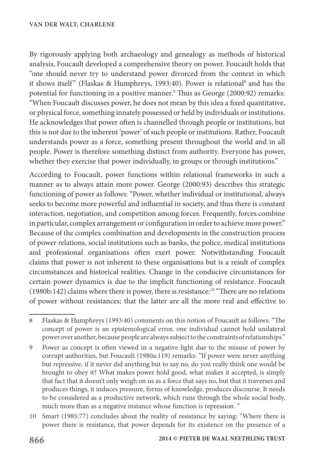By rigorously applying both archaeology and genealogy as methods of historical analysis, Foucault developed a comprehensive theory on power. Foucault holds that "one should never try to understand power divorced from the context in which it shows itself" (Flaskas & Humphreys, 1993:40). Power is relational<sup>8</sup> and has the potential for functioning in a positive manner.9 Thus as George (2000:92) remarks: "When Foucault discusses power, he does not mean by this idea a fixed quantitative, or physical force, something innately possessed or held by individuals or institutions. He acknowledges that power often is channelled through people or institutions, but this is not due to the inherent 'power' of such people or institutions. Rather, Foucault understands power as a force, something present throughout the world and in all people. Power is therefore something distinct from authority. Everyone has power, whether they exercise that power individually, in groups or through institutions."

According to Foucault, power functions within relational frameworks in such a manner as to always attain more power. George (2000:93) describes this strategic functioning of power as follows: "Power, whether individual or institutional, always seeks to become more powerful and influential in society, and thus there is constant interaction, negotiation, and competition among forces. Frequently, forces combine in particular, complex arrangement or configuration in order to achieve more power." Because of the complex combination and developments in the construction process of power relations, social institutions such as banks, the police, medical institutions and professional organisations often exert power. Notwithstanding Foucault claims that power is not inherent to these organisations but is a result of complex circumstances and historical realities. Change in the conducive circumstances for certain power dynamics is due to the implicit functioning of resistance. Foucault (1980b:142) claims where there is power, there is resistance:10 "There are no relations of power without resistances; that the latter are all the more real and effective to

- 8 Flaskas & Humphreys (1993:40) comments on this notion of Foucault as follows: "The concept of power is an epistemological error, one individual cannot hold unilateral power over another, because people are always subject to the constraints of relationships."
- 9 Power as concept is often viewed in a negative light due to the misuse of power by corrupt authorities, but Foucault (1980a:119) remarks: "If power were never anything but repressive, if it never did anything but to say no, do you really think one would be brought to obey it? What makes power hold good, what makes it accepted, is simply that fact that it doesn't only weigh on us as a force that says no, but that it traverses and produces things, it induces pressure, forms of knowledge, produces discourse. It needs to be considered as a productive network, which runs through the whole social body, much more than as a negative instance whose function is repression. "
- 10 Smart (1985:77) concludes about the reality of resistance by saying: "Where there is power there is resistance, that power depends for its existence on the presence of a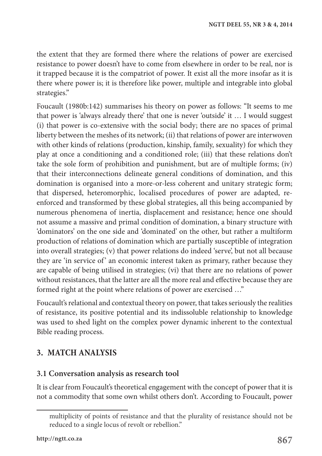the extent that they are formed there where the relations of power are exercised resistance to power doesn't have to come from elsewhere in order to be real, nor is it trapped because it is the compatriot of power. It exist all the more insofar as it is there where power is; it is therefore like power, multiple and integrable into global strategies."

Foucault (1980b:142) summarises his theory on power as follows: "It seems to me that power is 'always already there' that one is never 'outside' it … I would suggest (i) that power is co-extensive with the social body; there are no spaces of primal liberty between the meshes of its network; (ii) that relations of power are interwoven with other kinds of relations (production, kinship, family, sexuality) for which they play at once a conditioning and a conditioned role; (iii) that these relations don't take the sole form of prohibition and punishment, but are of multiple forms; (iv) that their interconnections delineate general conditions of domination, and this domination is organised into a more-or-less coherent and unitary strategic form; that dispersed, heteromorphic, localised procedures of power are adapted, reenforced and transformed by these global strategies, all this being accompanied by numerous phenomena of inertia, displacement and resistance; hence one should not assume a massive and primal condition of domination, a binary structure with 'dominators' on the one side and 'dominated' on the other, but rather a multiform production of relations of domination which are partially susceptible of integration into overall strategies; (v) that power relations do indeed 'serve', but not all because they are 'in service of' an economic interest taken as primary, rather because they are capable of being utilised in strategies; (vi) that there are no relations of power without resistances, that the latter are all the more real and effective because they are formed right at the point where relations of power are exercised …"

Foucault's relational and contextual theory on power, that takes seriously the realities of resistance, its positive potential and its indissoluble relationship to knowledge was used to shed light on the complex power dynamic inherent to the contextual Bible reading process.

# **3. MATCH ANALYSIS**

## **3.1 Conversation analysis as research tool**

It is clear from Foucault's theoretical engagement with the concept of power that it is not a commodity that some own whilst others don't. According to Foucault, power

multiplicity of points of resistance and that the plurality of resistance should not be reduced to a single locus of revolt or rebellion."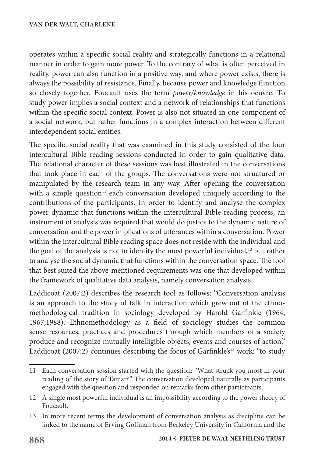operates within a specific social reality and strategically functions in a relational manner in order to gain more power. To the contrary of what is often perceived in reality, power can also function in a positive way, and where power exists, there is always the possibility of resistance. Finally, because power and knowledge function so closely together, Foucault uses the term *power/knowledge* in his oeuvre. To study power implies a social context and a network of relationships that functions within the specific social context. Power is also not situated in one component of a social network, but rather functions in a complex interaction between different interdependent social entities.

The specific social reality that was examined in this study consisted of the four intercultural Bible reading sessions conducted in order to gain qualitative data. The relational character of these sessions was best illustrated in the conversations that took place in each of the groups. The conversations were not structured or manipulated by the research team in any way. After opening the conversation with a simple question<sup>11</sup> each conversation developed uniquely according to the contributions of the participants. In order to identify and analyse the complex power dynamic that functions within the intercultural Bible reading process, an instrument of analysis was required that would do justice to the dynamic nature of conversation and the power implications of utterances within a conversation. Power within the intercultural Bible reading space does not reside with the individual and the goal of the analysis is not to identify the most powerful individual,<sup>12</sup> but rather to analyse the social dynamic that functions within the conversation space. The tool that best suited the above-mentioned requirements was one that developed within the framework of qualitative data analysis, namely conversation analysis.

Laddicoat (2007:2) describes the research tool as follows: "Conversation analysis is an approach to the study of talk in interaction which grew out of the ethnomethodological tradition in sociology developed by Harold Garfinkle (1964, 1967,1988). Ethnomethodology as a field of sociology studies the common sense resources, practices and procedures through which members of a society produce and recognize mutually intelligible objects, events and courses of action." Laddicoat (2007:2) continues describing the focus of Garfinkle's<sup>13</sup> work: "to study

<sup>11</sup> Each conversation session started with the question: "What struck you most in your reading of the story of Tamar?" The conversation developed naturally as participants engaged with the question and responded on remarks from other participants.

<sup>12</sup> A single most powerful individual is an impossibility according to the power theory of Foucault.

<sup>13</sup> In more recent terms the development of conversation analysis as discipline can be linked to the name of Erving Goffman from Berkeley University in California and the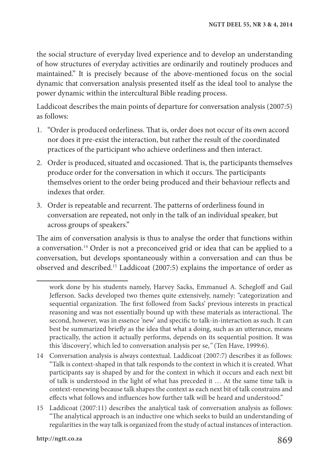the social structure of everyday lived experience and to develop an understanding of how structures of everyday activities are ordinarily and routinely produces and maintained." It is precisely because of the above-mentioned focus on the social dynamic that conversation analysis presented itself as the ideal tool to analyse the power dynamic within the intercultural Bible reading process.

Laddicoat describes the main points of departure for conversation analysis (2007:5) as follows:

- 1. "Order is produced orderliness. That is, order does not occur of its own accord nor does it pre-exist the interaction, but rather the result of the coordinated practices of the participant who achieve orderliness and then interact.
- 2. Order is produced, situated and occasioned. That is, the participants themselves produce order for the conversation in which it occurs. The participants themselves orient to the order being produced and their behaviour reflects and indexes that order.
- 3. Order is repeatable and recurrent. The patterns of orderliness found in conversation are repeated, not only in the talk of an individual speaker, but across groups of speakers."

The aim of conversation analysis is thus to analyse the order that functions within a conversation.14 Order is not a preconceived grid or idea that can be applied to a conversation, but develops spontaneously within a conversation and can thus be observed and described.15 Laddicoat (2007:5) explains the importance of order as

work done by his students namely, Harvey Sacks, Emmanuel A. Schegloff and Gail Jefferson. Sacks developed two themes quite extensively, namely: "categorization and sequential organization. The first followed from Sacks' previous interests in practical reasoning and was not essentially bound up with these materials as interactional. The second, however, was in essence 'new' and specific to talk-in-interaction as such. It can best be summarized briefly as the idea that what a doing, such as an utterance, means practically, the action it actually performs, depends on its sequential position. It was this 'discovery', which led to conversation analysis per se,*"* (Ten Have, 1999:6).

<sup>14</sup> Conversation analysis is always contextual. Laddicoat (2007:7) describes it as follows: "Talk is context-shaped in that talk responds to the context in which it is created. What participants say is shaped by and for the context in which it occurs and each next bit of talk is understood in the light of what has preceded it … At the same time talk is context-renewing because talk shapes the context as each next bit of talk constrains and effects what follows and influences how further talk will be heard and understood."

<sup>15</sup> Laddicoat (2007:11) describes the analytical task of conversation analysis as follows: "The analytical approach is an inductive one which seeks to build an understanding of regularities in the way talk is organized from the study of actual instances of interaction.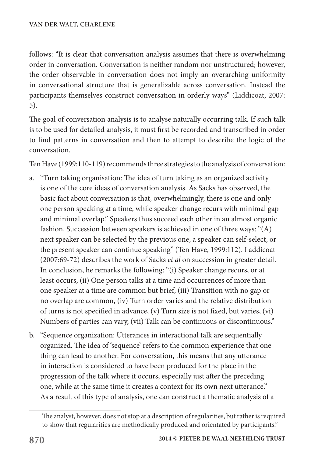follows: "It is clear that conversation analysis assumes that there is overwhelming order in conversation. Conversation is neither random nor unstructured; however, the order observable in conversation does not imply an overarching uniformity in conversational structure that is generalizable across conversation. Instead the participants themselves construct conversation in orderly ways" (Liddicoat, 2007: 5).

The goal of conversation analysis is to analyse naturally occurring talk. If such talk is to be used for detailed analysis, it must first be recorded and transcribed in order to find patterns in conversation and then to attempt to describe the logic of the conversation.

Ten Have (1999:110-119) recommends three strategies to the analysis of conversation:

- a. "Turn taking organisation: The idea of turn taking as an organized activity is one of the core ideas of conversation analysis. As Sacks has observed, the basic fact about conversation is that, overwhelmingly, there is one and only one person speaking at a time, while speaker change recurs with minimal gap and minimal overlap." Speakers thus succeed each other in an almost organic fashion. Succession between speakers is achieved in one of three ways: "(A) next speaker can be selected by the previous one, a speaker can self-select, or the present speaker can continue speaking" (Ten Have, 1999:112). Laddicoat (2007:69-72) describes the work of Sacks *et al* on succession in greater detail. In conclusion, he remarks the following: "(i) Speaker change recurs, or at least occurs, (ii) One person talks at a time and occurrences of more than one speaker at a time are common but brief, (iii) Transition with no gap or no overlap are common, (iv) Turn order varies and the relative distribution of turns is not specified in advance, (v) Turn size is not fixed, but varies, (vi) Numbers of parties can vary, (vii) Talk can be continuous or discontinuous."
- b. "Sequence organization: Utterances in interactional talk are sequentially organized. The idea of 'sequence' refers to the common experience that one thing can lead to another. For conversation, this means that any utterance in interaction is considered to have been produced for the place in the progression of the talk where it occurs, especially just after the preceding one, while at the same time it creates a context for its own next utterance." As a result of this type of analysis, one can construct a thematic analysis of a

The analyst, however, does not stop at a description of regularities, but rather is required to show that regularities are methodically produced and orientated by participants."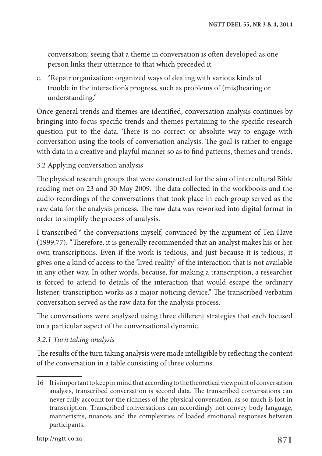conversation; seeing that a theme in conversation is often developed as one person links their utterance to that which preceded it.

c. "Repair organization: organized ways of dealing with various kinds of trouble in the interaction's progress, such as problems of (mis)hearing or understanding."

Once general trends and themes are identified, conversation analysis continues by bringing into focus specific trends and themes pertaining to the specific research question put to the data. There is no correct or absolute way to engage with conversation using the tools of conversation analysis. The goal is rather to engage with data in a creative and playful manner so as to find patterns, themes and trends.

3.2 Applying conversation analysis

The physical research groups that were constructed for the aim of intercultural Bible reading met on 23 and 30 May 2009. The data collected in the workbooks and the audio recordings of the conversations that took place in each group served as the raw data for the analysis process. The raw data was reworked into digital format in order to simplify the process of analysis.

I transcribed<sup>16</sup> the conversations myself, convinced by the argument of Ten Have (1999:77). "Therefore, it is generally recommended that an analyst makes his or her own transcriptions. Even if the work is tedious, and just because it is tedious, it gives one a kind of access to the 'lived reality' of the interaction that is not available in any other way. In other words, because, for making a transcription, a researcher is forced to attend to details of the interaction that would escape the ordinary listener, transcription works as a major noticing device." The transcribed verbatim conversation served as the raw data for the analysis process.

The conversations were analysed using three different strategies that each focused on a particular aspect of the conversational dynamic.

#### *3.2.1 Turn taking analysis*

The results of the turn taking analysis were made intelligible by reflecting the content of the conversation in a table consisting of three columns.

<sup>16</sup> It is important to keep in mind that according to the theoretical viewpoint of conversation analysis, transcribed conversation is second data. The transcribed conversations can never fully account for the richness of the physical conversation, as so much is lost in transcription. Transcribed conversations can accordingly not convey body language, mannerisms, nuances and the complexities of loaded emotional responses between participants.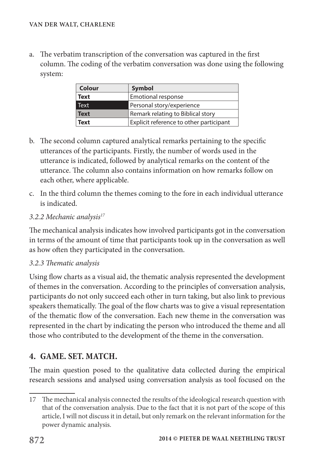a. The verbatim transcription of the conversation was captured in the first column. The coding of the verbatim conversation was done using the following system:

| Colour      | <b>Symbol</b>                           |
|-------------|-----------------------------------------|
| <b>Text</b> | Emotional response                      |
| Text        | Personal story/experience               |
| <b>Text</b> | Remark relating to Biblical story       |
| Text        | Explicit reference to other participant |

- b. The second column captured analytical remarks pertaining to the specific utterances of the participants. Firstly, the number of words used in the utterance is indicated, followed by analytical remarks on the content of the utterance. The column also contains information on how remarks follow on each other, where applicable.
- c. In the third column the themes coming to the fore in each individual utterance is indicated.

#### *3.2.2 Mechanic analysis17*

The mechanical analysis indicates how involved participants got in the conversation in terms of the amount of time that participants took up in the conversation as well as how often they participated in the conversation.

## *3.2.3 Thematic analysis*

Using flow charts as a visual aid, the thematic analysis represented the development of themes in the conversation. According to the principles of conversation analysis, participants do not only succeed each other in turn taking, but also link to previous speakers thematically. The goal of the flow charts was to give a visual representation of the thematic flow of the conversation. Each new theme in the conversation was represented in the chart by indicating the person who introduced the theme and all those who contributed to the development of the theme in the conversation.

# **4. GAME. SET. MATCH.**

The main question posed to the qualitative data collected during the empirical research sessions and analysed using conversation analysis as tool focused on the

<sup>17</sup> The mechanical analysis connected the results of the ideological research question with that of the conversation analysis. Due to the fact that it is not part of the scope of this article, I will not discuss it in detail, but only remark on the relevant information for the power dynamic analysis.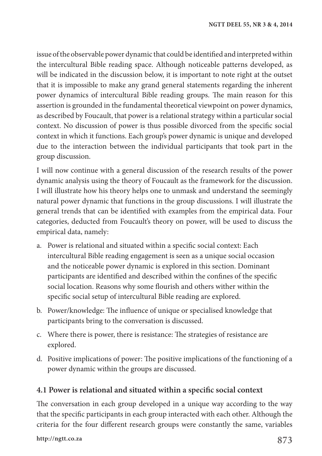issue of the observable power dynamic that could be identified and interpreted within the intercultural Bible reading space. Although noticeable patterns developed, as will be indicated in the discussion below, it is important to note right at the outset that it is impossible to make any grand general statements regarding the inherent power dynamics of intercultural Bible reading groups. The main reason for this assertion is grounded in the fundamental theoretical viewpoint on power dynamics, as described by Foucault, that power is a relational strategy within a particular social context. No discussion of power is thus possible divorced from the specific social context in which it functions. Each group's power dynamic is unique and developed due to the interaction between the individual participants that took part in the group discussion.

I will now continue with a general discussion of the research results of the power dynamic analysis using the theory of Foucault as the framework for the discussion. I will illustrate how his theory helps one to unmask and understand the seemingly natural power dynamic that functions in the group discussions. I will illustrate the general trends that can be identified with examples from the empirical data. Four categories, deducted from Foucault's theory on power, will be used to discuss the empirical data, namely:

- a. Power is relational and situated within a specific social context: Each intercultural Bible reading engagement is seen as a unique social occasion and the noticeable power dynamic is explored in this section. Dominant participants are identified and described within the confines of the specific social location. Reasons why some flourish and others wither within the specific social setup of intercultural Bible reading are explored.
- b. Power/knowledge: The influence of unique or specialised knowledge that participants bring to the conversation is discussed.
- c. Where there is power, there is resistance: The strategies of resistance are explored.
- d. Positive implications of power: The positive implications of the functioning of a power dynamic within the groups are discussed.

## **4.1 Power is relational and situated within a specific social context**

The conversation in each group developed in a unique way according to the way that the specific participants in each group interacted with each other. Although the criteria for the four different research groups were constantly the same, variables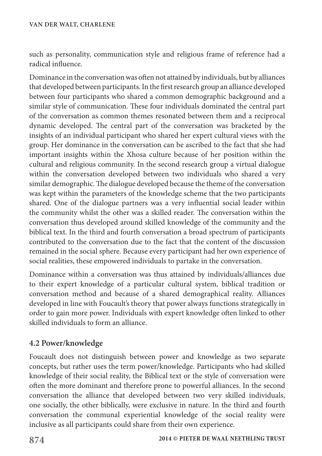such as personality, communication style and religious frame of reference had a radical influence.

Dominance in the conversation was often not attained by individuals, but by alliances that developed between participants. In the first research group an alliance developed between four participants who shared a common demographic background and a similar style of communication. These four individuals dominated the central part of the conversation as common themes resonated between them and a reciprocal dynamic developed. The central part of the conversation was bracketed by the insights of an individual participant who shared her expert cultural views with the group. Her dominance in the conversation can be ascribed to the fact that she had important insights within the Xhosa culture because of her position within the cultural and religious community. In the second research group a virtual dialogue within the conversation developed between two individuals who shared a very similar demographic. The dialogue developed because the theme of the conversation was kept within the parameters of the knowledge scheme that the two participants shared. One of the dialogue partners was a very influential social leader within the community whilst the other was a skilled reader. The conversation within the conversation thus developed around skilled knowledge of the community and the biblical text. In the third and fourth conversation a broad spectrum of participants contributed to the conversation due to the fact that the content of the discussion remained in the social sphere. Because every participant had her own experience of social realities, these empowered individuals to partake in the conversation.

Dominance within a conversation was thus attained by individuals/alliances due to their expert knowledge of a particular cultural system, biblical tradition or conversation method and because of a shared demographical reality. Alliances developed in line with Foucault's theory that power always functions strategically in order to gain more power. Individuals with expert knowledge often linked to other skilled individuals to form an alliance.

## **4.2 Power/knowledge**

Foucault does not distinguish between power and knowledge as two separate concepts, but rather uses the term power/knowledge. Participants who had skilled knowledge of their social reality, the Biblical text or the style of conversation were often the more dominant and therefore prone to powerful alliances. In the second conversation the alliance that developed between two very skilled individuals, one socially, the other biblically, were exclusive in nature. In the third and fourth conversation the communal experiential knowledge of the social reality were inclusive as all participants could share from their own experience.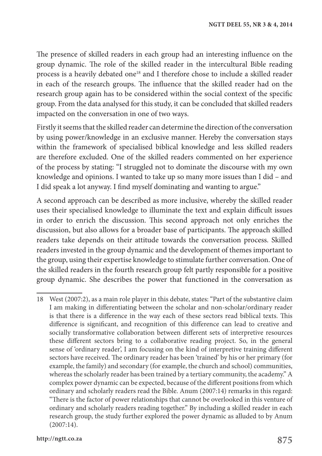The presence of skilled readers in each group had an interesting influence on the group dynamic. The role of the skilled reader in the intercultural Bible reading process is a heavily debated one<sup>18</sup> and I therefore chose to include a skilled reader in each of the research groups. The influence that the skilled reader had on the research group again has to be considered within the social context of the specific group. From the data analysed for this study, it can be concluded that skilled readers impacted on the conversation in one of two ways.

Firstly it seems that the skilled reader can determine the direction of the conversation by using power/knowledge in an exclusive manner. Hereby the conversation stays within the framework of specialised biblical knowledge and less skilled readers are therefore excluded. One of the skilled readers commented on her experience of the process by stating: "I struggled not to dominate the discourse with my own knowledge and opinions. I wanted to take up so many more issues than I did – and I did speak a lot anyway. I find myself dominating and wanting to argue."

A second approach can be described as more inclusive, whereby the skilled reader uses their specialised knowledge to illuminate the text and explain difficult issues in order to enrich the discussion. This second approach not only enriches the discussion, but also allows for a broader base of participants. The approach skilled readers take depends on their attitude towards the conversation process. Skilled readers invested in the group dynamic and the development of themes important to the group, using their expertise knowledge to stimulate further conversation. One of the skilled readers in the fourth research group felt partly responsible for a positive group dynamic. She describes the power that functioned in the conversation as

<sup>18</sup> West (2007:2), as a main role player in this debate, states: "Part of the substantive claim I am making in differentiating between the scholar and non-scholar/ordinary reader is that there is a difference in the way each of these sectors read biblical texts. This difference is significant, and recognition of this difference can lead to creative and socially transformative collaboration between different sets of interpretive resources these different sectors bring to a collaborative reading project. So, in the general sense of 'ordinary reader', I am focusing on the kind of interpretive training different sectors have received. The ordinary reader has been 'trained' by his or her primary (for example, the family) and secondary (for example, the church and school) communities, whereas the scholarly reader has been trained by a tertiary community, the academy." A complex power dynamic can be expected, because of the different positions from which ordinary and scholarly readers read the Bible. Anum (2007:14) remarks in this regard: "There is the factor of power relationships that cannot be overlooked in this venture of ordinary and scholarly readers reading together." By including a skilled reader in each research group, the study further explored the power dynamic as alluded to by Anum (2007:14).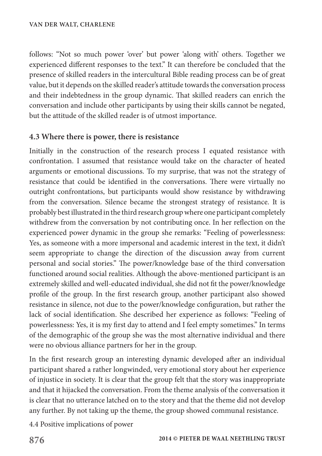follows: "Not so much power 'over' but power 'along with' others. Together we experienced different responses to the text." It can therefore be concluded that the presence of skilled readers in the intercultural Bible reading process can be of great value, but it depends on the skilled reader's attitude towards the conversation process and their indebtedness in the group dynamic. That skilled readers can enrich the conversation and include other participants by using their skills cannot be negated, but the attitude of the skilled reader is of utmost importance.

#### **4.3 Where there is power, there is resistance**

Initially in the construction of the research process I equated resistance with confrontation. I assumed that resistance would take on the character of heated arguments or emotional discussions. To my surprise, that was not the strategy of resistance that could be identified in the conversations. There were virtually no outright confrontations, but participants would show resistance by withdrawing from the conversation. Silence became the strongest strategy of resistance. It is probably best illustrated in the third research group where one participant completely withdrew from the conversation by not contributing once. In her reflection on the experienced power dynamic in the group she remarks: "Feeling of powerlessness: Yes, as someone with a more impersonal and academic interest in the text, it didn't seem appropriate to change the direction of the discussion away from current personal and social stories." The power/knowledge base of the third conversation functioned around social realities. Although the above-mentioned participant is an extremely skilled and well-educated individual, she did not fit the power/knowledge profile of the group. In the first research group, another participant also showed resistance in silence, not due to the power/knowledge configuration, but rather the lack of social identification. She described her experience as follows: "Feeling of powerlessness: Yes, it is my first day to attend and I feel empty sometimes." In terms of the demographic of the group she was the most alternative individual and there were no obvious alliance partners for her in the group.

In the first research group an interesting dynamic developed after an individual participant shared a rather longwinded, very emotional story about her experience of injustice in society. It is clear that the group felt that the story was inappropriate and that it hijacked the conversation. From the theme analysis of the conversation it is clear that no utterance latched on to the story and that the theme did not develop any further. By not taking up the theme, the group showed communal resistance.

4.4 Positive implications of power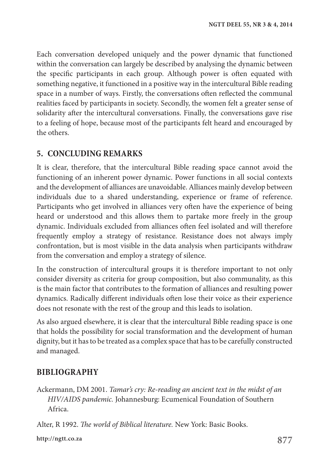Each conversation developed uniquely and the power dynamic that functioned within the conversation can largely be described by analysing the dynamic between the specific participants in each group. Although power is often equated with something negative, it functioned in a positive way in the intercultural Bible reading space in a number of ways. Firstly, the conversations often reflected the communal realities faced by participants in society. Secondly, the women felt a greater sense of solidarity after the intercultural conversations. Finally, the conversations gave rise to a feeling of hope, because most of the participants felt heard and encouraged by the others.

# **5. CONCLUDING REMARKS**

It is clear, therefore, that the intercultural Bible reading space cannot avoid the functioning of an inherent power dynamic. Power functions in all social contexts and the development of alliances are unavoidable. Alliances mainly develop between individuals due to a shared understanding, experience or frame of reference. Participants who get involved in alliances very often have the experience of being heard or understood and this allows them to partake more freely in the group dynamic. Individuals excluded from alliances often feel isolated and will therefore frequently employ a strategy of resistance. Resistance does not always imply confrontation, but is most visible in the data analysis when participants withdraw from the conversation and employ a strategy of silence.

In the construction of intercultural groups it is therefore important to not only consider diversity as criteria for group composition, but also communality, as this is the main factor that contributes to the formation of alliances and resulting power dynamics. Radically different individuals often lose their voice as their experience does not resonate with the rest of the group and this leads to isolation.

As also argued elsewhere, it is clear that the intercultural Bible reading space is one that holds the possibility for social transformation and the development of human dignity, but it has to be treated as a complex space that has to be carefully constructed and managed.

# **BIBLIOGRAPHY**

Ackermann, DM 2001. *Tamar's cry: Re-reading an ancient text in the midst of an HIV/AIDS pandemic.* Johannesburg: Ecumenical Foundation of Southern Africa.

Alter, R 1992. *The world of Biblical literature.* New York: Basic Books.

**877 http://ngtt.co.za**